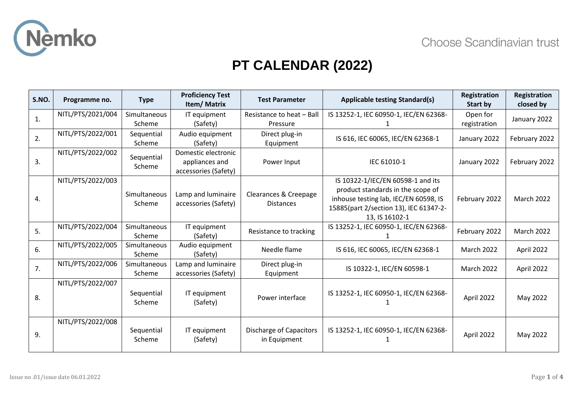

| S.NO. | Programme no.     | <b>Type</b>            | <b>Proficiency Test</b><br><b>Item/Matrix</b> | <b>Test Parameter</b>                          | <b>Applicable testing Standard(s)</b>                                                                                                                                       | Registration<br>Start by | Registration<br>closed by |
|-------|-------------------|------------------------|-----------------------------------------------|------------------------------------------------|-----------------------------------------------------------------------------------------------------------------------------------------------------------------------------|--------------------------|---------------------------|
| 1.    | NITL/PTS/2021/004 | Simultaneous           | IT equipment                                  | Resistance to heat - Ball                      | IS 13252-1, IEC 60950-1, IEC/EN 62368-                                                                                                                                      | Open for                 | January 2022              |
|       |                   | Scheme                 | (Safety)                                      | Pressure                                       |                                                                                                                                                                             | registration             |                           |
| 2.    | NITL/PTS/2022/001 | Sequential<br>Scheme   | Audio equipment<br>(Safety)                   | Direct plug-in<br>Equipment                    | IS 616, IEC 60065, IEC/EN 62368-1                                                                                                                                           | January 2022             | February 2022             |
|       | NITL/PTS/2022/002 | Sequential<br>Scheme   | Domestic electronic                           | appliances and<br>Power Input                  | IEC 61010-1                                                                                                                                                                 | January 2022             | February 2022             |
| 3.    |                   |                        | accessories (Safety)                          |                                                |                                                                                                                                                                             |                          |                           |
| 4.    | NITL/PTS/2022/003 | Simultaneous<br>Scheme | Lamp and luminaire<br>accessories (Safety)    | Clearances & Creepage<br><b>Distances</b>      | IS 10322-1/IEC/EN 60598-1 and its<br>product standards in the scope of<br>inhouse testing lab, IEC/EN 60598, IS<br>15885(part 2/section 13), IEC 61347-2-<br>13, IS 16102-1 | February 2022            | <b>March 2022</b>         |
| 5.    | NITL/PTS/2022/004 | Simultaneous<br>Scheme | IT equipment<br>(Safety)                      | Resistance to tracking                         | IS 13252-1, IEC 60950-1, IEC/EN 62368-                                                                                                                                      | February 2022            | <b>March 2022</b>         |
| 6.    | NITL/PTS/2022/005 | Simultaneous<br>Scheme | Audio equipment<br>(Safety)                   | Needle flame                                   | IS 616, IEC 60065, IEC/EN 62368-1                                                                                                                                           | March 2022               | April 2022                |
| 7.    | NITL/PTS/2022/006 | Simultaneous<br>Scheme | Lamp and luminaire<br>accessories (Safety)    | Direct plug-in<br>Equipment                    | IS 10322-1, IEC/EN 60598-1                                                                                                                                                  | March 2022               | April 2022                |
| 8.    | NITL/PTS/2022/007 | Sequential<br>Scheme   | IT equipment<br>(Safety)                      | Power interface                                | IS 13252-1, IEC 60950-1, IEC/EN 62368-                                                                                                                                      | April 2022               | May 2022                  |
| 9.    | NITL/PTS/2022/008 | Sequential<br>Scheme   | IT equipment<br>(Safety)                      | <b>Discharge of Capacitors</b><br>in Equipment | IS 13252-1, IEC 60950-1, IEC/EN 62368-                                                                                                                                      | April 2022               | May 2022                  |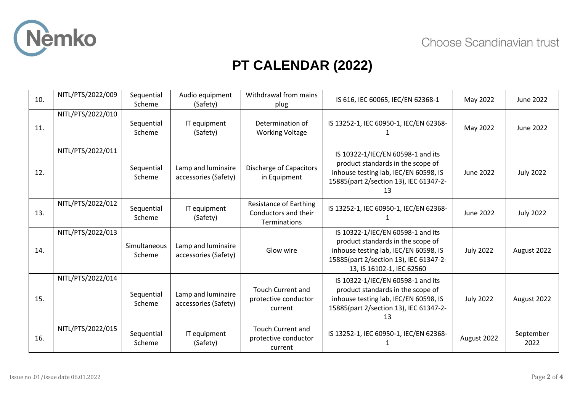

| 10. | NITL/PTS/2022/009 | Sequential<br>Scheme   | Audio equipment<br>(Safety)                | Withdrawal from mains<br>plug                                         | IS 616, IEC 60065, IEC/EN 62368-1                                                                                                                                                      | May 2022         | June 2022         |
|-----|-------------------|------------------------|--------------------------------------------|-----------------------------------------------------------------------|----------------------------------------------------------------------------------------------------------------------------------------------------------------------------------------|------------------|-------------------|
| 11. | NITL/PTS/2022/010 | Sequential<br>Scheme   | IT equipment<br>(Safety)                   | Determination of<br><b>Working Voltage</b>                            | IS 13252-1, IEC 60950-1, IEC/EN 62368-                                                                                                                                                 | May 2022         | <b>June 2022</b>  |
| 12. | NITL/PTS/2022/011 | Sequential<br>Scheme   | Lamp and luminaire<br>accessories (Safety) | <b>Discharge of Capacitors</b><br>in Equipment                        | IS 10322-1/IEC/EN 60598-1 and its<br>product standards in the scope of<br>inhouse testing lab, IEC/EN 60598, IS<br>15885(part 2/section 13), IEC 61347-2-<br>13                        | <b>June 2022</b> | <b>July 2022</b>  |
| 13. | NITL/PTS/2022/012 | Sequential<br>Scheme   | IT equipment<br>(Safety)                   | <b>Resistance of Earthing</b><br>Conductors and their<br>Terminations | IS 13252-1, IEC 60950-1, IEC/EN 62368-                                                                                                                                                 | <b>June 2022</b> | <b>July 2022</b>  |
| 14. | NITL/PTS/2022/013 | Simultaneous<br>Scheme | Lamp and luminaire<br>accessories (Safety) | Glow wire                                                             | IS 10322-1/IEC/EN 60598-1 and its<br>product standards in the scope of<br>inhouse testing lab, IEC/EN 60598, IS<br>15885(part 2/section 13), IEC 61347-2-<br>13, IS 16102-1, IEC 62560 | <b>July 2022</b> | August 2022       |
| 15. | NITL/PTS/2022/014 | Sequential<br>Scheme   | Lamp and luminaire<br>accessories (Safety) | <b>Touch Current and</b><br>protective conductor<br>current           | IS 10322-1/IEC/EN 60598-1 and its<br>product standards in the scope of<br>inhouse testing lab, IEC/EN 60598, IS<br>15885(part 2/section 13), IEC 61347-2-<br>13                        | <b>July 2022</b> | August 2022       |
| 16. | NITL/PTS/2022/015 | Sequential<br>Scheme   | IT equipment<br>(Safety)                   | <b>Touch Current and</b><br>protective conductor<br>current           | IS 13252-1, IEC 60950-1, IEC/EN 62368-                                                                                                                                                 | August 2022      | September<br>2022 |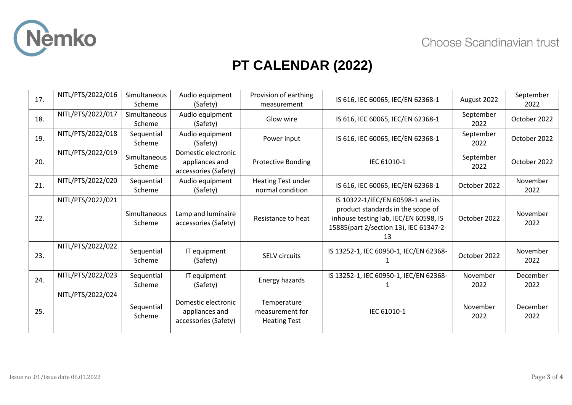

| 17. | NITL/PTS/2022/016 | Simultaneous<br>Scheme | Audio equipment<br>(Safety)                                   | Provision of earthing<br>measurement                  | IS 616, IEC 60065, IEC/EN 62368-1                                                                                                                               | August 2022       | September<br>2022 |
|-----|-------------------|------------------------|---------------------------------------------------------------|-------------------------------------------------------|-----------------------------------------------------------------------------------------------------------------------------------------------------------------|-------------------|-------------------|
| 18. | NITL/PTS/2022/017 | Simultaneous<br>Scheme | Audio equipment<br>(Safety)                                   | Glow wire                                             | IS 616, IEC 60065, IEC/EN 62368-1                                                                                                                               | September<br>2022 | October 2022      |
| 19. | NITL/PTS/2022/018 | Sequential<br>Scheme   | Audio equipment<br>(Safety)                                   | Power input                                           | IS 616, IEC 60065, IEC/EN 62368-1                                                                                                                               | September<br>2022 | October 2022      |
| 20. | NITL/PTS/2022/019 | Simultaneous<br>Scheme | Domestic electronic<br>appliances and<br>accessories (Safety) | <b>Protective Bonding</b>                             | IEC 61010-1                                                                                                                                                     | September<br>2022 | October 2022      |
| 21. | NITL/PTS/2022/020 | Sequential<br>Scheme   | Audio equipment<br>(Safety)                                   | <b>Heating Test under</b><br>normal condition         | IS 616, IEC 60065, IEC/EN 62368-1                                                                                                                               | October 2022      | November<br>2022  |
| 22. | NITL/PTS/2022/021 | Simultaneous<br>Scheme | Lamp and luminaire<br>accessories (Safety)                    | Resistance to heat                                    | IS 10322-1/IEC/EN 60598-1 and its<br>product standards in the scope of<br>inhouse testing lab, IEC/EN 60598, IS<br>15885(part 2/section 13), IEC 61347-2-<br>13 | October 2022      | November<br>2022  |
| 23. | NITL/PTS/2022/022 | Sequential<br>Scheme   | IT equipment<br>(Safety)                                      | <b>SELV</b> circuits                                  | IS 13252-1, IEC 60950-1, IEC/EN 62368-                                                                                                                          | October 2022      | November<br>2022  |
| 24. | NITL/PTS/2022/023 | Sequential<br>Scheme   | IT equipment<br>(Safety)                                      | Energy hazards                                        | IS 13252-1, IEC 60950-1, IEC/EN 62368-                                                                                                                          | November<br>2022  | December<br>2022  |
| 25. | NITL/PTS/2022/024 | Sequential<br>Scheme   | Domestic electronic<br>appliances and<br>accessories (Safety) | Temperature<br>measurement for<br><b>Heating Test</b> | IEC 61010-1                                                                                                                                                     | November<br>2022  | December<br>2022  |